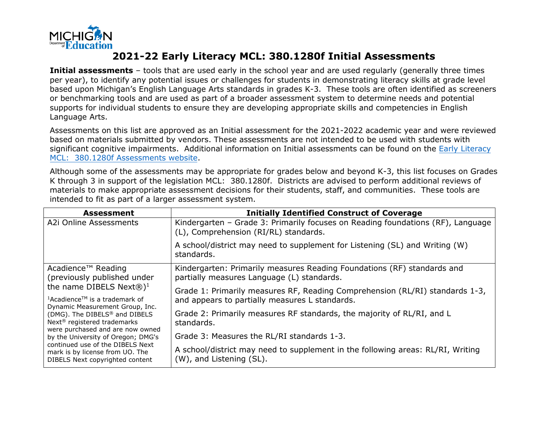

## **2021-22 Early Literacy MCL: 380.1280f Initial Assessments**

**Initial assessments** – tools that are used early in the school year and are used regularly (generally three times per year), to identify any potential issues or challenges for students in demonstrating literacy skills at grade level based upon Michigan's English Language Arts standards in grades K-3. These tools are often identified as screeners or benchmarking tools and are used as part of a broader assessment system to determine needs and potential supports for individual students to ensure they are developing appropriate skills and competencies in English Language Arts.

Assessments on this list are approved as an Initial assessment for the 2021-2022 academic year and were reviewed based on materials submitted by vendors. These assessments are not intended to be used with students with significant cognitive impairments. Additional information on Initial assessments can be found on the [Early Literacy](https://www.michigan.gov/mde/0,4615,7-140-28753_74161-410821--,00.html) [MCL: 380.1280f Assessments website.](https://www.michigan.gov/mde/0,4615,7-140-28753_74161-410821--,00.html)

Although some of the assessments may be appropriate for grades below and beyond K-3, this list focuses on Grades K through 3 in support of the legislation MCL: 380.1280f. Districts are advised to perform additional reviews of materials to make appropriate assessment decisions for their students, staff, and communities. These tools are intended to fit as part of a larger assessment system.

| <b>Assessment</b>                                                                                                                                                                                                                                                                                                                                                                                   | <b>Initially Identified Construct of Coverage</b>                                                                              |
|-----------------------------------------------------------------------------------------------------------------------------------------------------------------------------------------------------------------------------------------------------------------------------------------------------------------------------------------------------------------------------------------------------|--------------------------------------------------------------------------------------------------------------------------------|
| A2i Online Assessments                                                                                                                                                                                                                                                                                                                                                                              | Kindergarten – Grade 3: Primarily focuses on Reading foundations (RF), Language<br>(L), Comprehension (RI/RL) standards.       |
|                                                                                                                                                                                                                                                                                                                                                                                                     | A school/district may need to supplement for Listening (SL) and Writing (W)<br>standards.                                      |
| Acadience <sup>™</sup> Reading<br>(previously published under                                                                                                                                                                                                                                                                                                                                       | Kindergarten: Primarily measures Reading Foundations (RF) standards and<br>partially measures Language (L) standards.          |
| the name DIBELS Next $\circledR)^1$<br>$1$ Acadience <sup>TM</sup> is a trademark of<br>Dynamic Measurement Group, Inc.<br>(DMG). The DIBELS <sup>®</sup> and DIBELS<br>Next <sup>®</sup> registered trademarks<br>were purchased and are now owned<br>by the University of Oregon; DMG's<br>continued use of the DIBELS Next<br>mark is by license from UO. The<br>DIBELS Next copyrighted content | Grade 1: Primarily measures RF, Reading Comprehension (RL/RI) standards 1-3,<br>and appears to partially measures L standards. |
|                                                                                                                                                                                                                                                                                                                                                                                                     | Grade 2: Primarily measures RF standards, the majority of RL/RI, and L<br>standards.                                           |
|                                                                                                                                                                                                                                                                                                                                                                                                     | Grade 3: Measures the RL/RI standards 1-3.                                                                                     |
|                                                                                                                                                                                                                                                                                                                                                                                                     | A school/district may need to supplement in the following areas: RL/RI, Writing<br>(W), and Listening (SL).                    |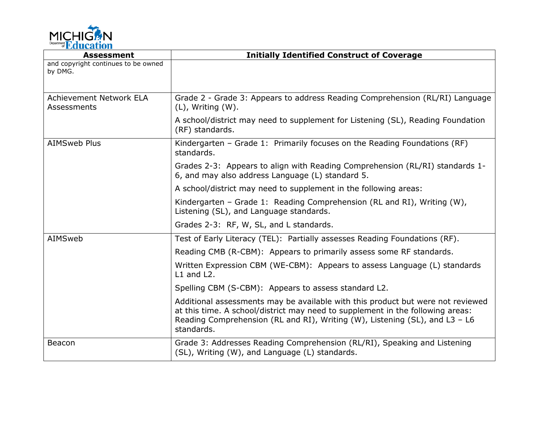

| <b>Assessment</b>                              | <b>Initially Identified Construct of Coverage</b>                                                                                                                                                                                                              |
|------------------------------------------------|----------------------------------------------------------------------------------------------------------------------------------------------------------------------------------------------------------------------------------------------------------------|
| and copyright continues to be owned<br>by DMG. |                                                                                                                                                                                                                                                                |
| Achievement Network ELA<br>Assessments         | Grade 2 - Grade 3: Appears to address Reading Comprehension (RL/RI) Language<br>$(L)$ , Writing $(W)$ .                                                                                                                                                        |
|                                                | A school/district may need to supplement for Listening (SL), Reading Foundation<br>(RF) standards.                                                                                                                                                             |
| <b>AIMSweb Plus</b>                            | Kindergarten - Grade 1: Primarily focuses on the Reading Foundations (RF)<br>standards.                                                                                                                                                                        |
|                                                | Grades 2-3: Appears to align with Reading Comprehension (RL/RI) standards 1-<br>6, and may also address Language (L) standard 5.                                                                                                                               |
|                                                | A school/district may need to supplement in the following areas:                                                                                                                                                                                               |
|                                                | Kindergarten - Grade 1: Reading Comprehension (RL and RI), Writing (W),<br>Listening (SL), and Language standards.                                                                                                                                             |
|                                                | Grades 2-3: RF, W, SL, and L standards.                                                                                                                                                                                                                        |
| AIMSweb                                        | Test of Early Literacy (TEL): Partially assesses Reading Foundations (RF).                                                                                                                                                                                     |
|                                                | Reading CMB (R-CBM): Appears to primarily assess some RF standards.                                                                                                                                                                                            |
|                                                | Written Expression CBM (WE-CBM): Appears to assess Language (L) standards<br>$L1$ and $L2$ .                                                                                                                                                                   |
|                                                | Spelling CBM (S-CBM): Appears to assess standard L2.                                                                                                                                                                                                           |
|                                                | Additional assessments may be available with this product but were not reviewed<br>at this time. A school/district may need to supplement in the following areas:<br>Reading Comprehension (RL and RI), Writing (W), Listening (SL), and L3 - L6<br>standards. |
| Beacon                                         | Grade 3: Addresses Reading Comprehension (RL/RI), Speaking and Listening<br>(SL), Writing (W), and Language (L) standards.                                                                                                                                     |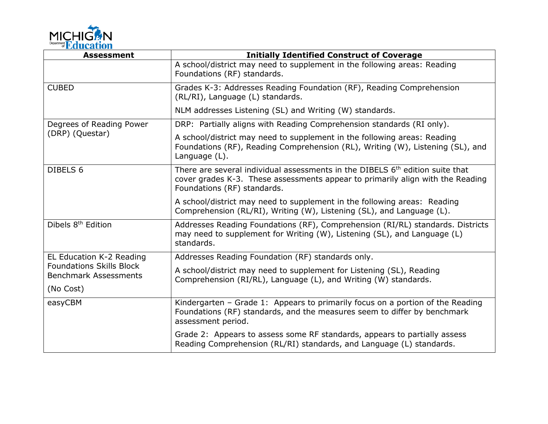

| <b>Assessment</b>                                               | <b>Initially Identified Construct of Coverage</b>                                                                                                                                                          |
|-----------------------------------------------------------------|------------------------------------------------------------------------------------------------------------------------------------------------------------------------------------------------------------|
|                                                                 | A school/district may need to supplement in the following areas: Reading<br>Foundations (RF) standards.                                                                                                    |
| <b>CUBED</b>                                                    | Grades K-3: Addresses Reading Foundation (RF), Reading Comprehension<br>(RL/RI), Language (L) standards.                                                                                                   |
|                                                                 | NLM addresses Listening (SL) and Writing (W) standards.                                                                                                                                                    |
| Degrees of Reading Power<br>(DRP) (Questar)                     | DRP: Partially aligns with Reading Comprehension standards (RI only).                                                                                                                                      |
|                                                                 | A school/district may need to supplement in the following areas: Reading<br>Foundations (RF), Reading Comprehension (RL), Writing (W), Listening (SL), and<br>Language (L).                                |
| DIBELS 6                                                        | There are several individual assessments in the DIBELS 6 <sup>th</sup> edition suite that<br>cover grades K-3. These assessments appear to primarily align with the Reading<br>Foundations (RF) standards. |
|                                                                 | A school/district may need to supplement in the following areas: Reading<br>Comprehension (RL/RI), Writing (W), Listening (SL), and Language (L).                                                          |
| Dibels 8 <sup>th</sup> Edition                                  | Addresses Reading Foundations (RF), Comprehension (RI/RL) standards. Districts<br>may need to supplement for Writing (W), Listening (SL), and Language (L)<br>standards.                                   |
| EL Education K-2 Reading                                        | Addresses Reading Foundation (RF) standards only.                                                                                                                                                          |
| <b>Foundations Skills Block</b><br><b>Benchmark Assessments</b> | A school/district may need to supplement for Listening (SL), Reading<br>Comprehension (RI/RL), Language (L), and Writing (W) standards.                                                                    |
| (No Cost)                                                       |                                                                                                                                                                                                            |
| easyCBM                                                         | Kindergarten - Grade 1: Appears to primarily focus on a portion of the Reading<br>Foundations (RF) standards, and the measures seem to differ by benchmark<br>assessment period.                           |
|                                                                 | Grade 2: Appears to assess some RF standards, appears to partially assess<br>Reading Comprehension (RL/RI) standards, and Language (L) standards.                                                          |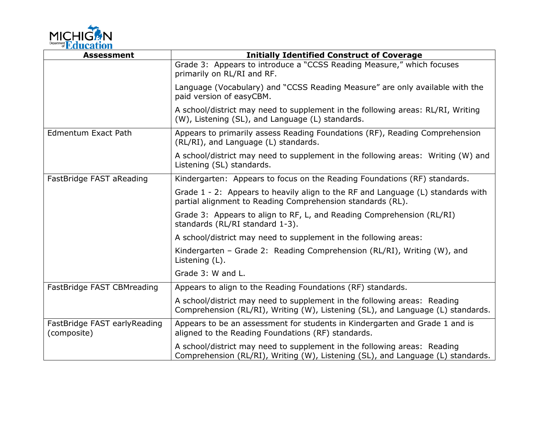

| <b>Assessment</b>                           | <b>Initially Identified Construct of Coverage</b>                                                                                                           |
|---------------------------------------------|-------------------------------------------------------------------------------------------------------------------------------------------------------------|
|                                             | Grade 3: Appears to introduce a "CCSS Reading Measure," which focuses<br>primarily on RL/RI and RF.                                                         |
|                                             | Language (Vocabulary) and "CCSS Reading Measure" are only available with the<br>paid version of easyCBM.                                                    |
|                                             | A school/district may need to supplement in the following areas: RL/RI, Writing<br>(W), Listening (SL), and Language (L) standards.                         |
| Edmentum Exact Path                         | Appears to primarily assess Reading Foundations (RF), Reading Comprehension<br>(RL/RI), and Language (L) standards.                                         |
|                                             | A school/district may need to supplement in the following areas: Writing (W) and<br>Listening (SL) standards.                                               |
| FastBridge FAST aReading                    | Kindergarten: Appears to focus on the Reading Foundations (RF) standards.                                                                                   |
|                                             | Grade 1 - 2: Appears to heavily align to the RF and Language (L) standards with<br>partial alignment to Reading Comprehension standards (RL).               |
|                                             | Grade 3: Appears to align to RF, L, and Reading Comprehension (RL/RI)<br>standards (RL/RI standard 1-3).                                                    |
|                                             | A school/district may need to supplement in the following areas:                                                                                            |
|                                             | Kindergarten - Grade 2: Reading Comprehension (RL/RI), Writing (W), and<br>Listening (L).                                                                   |
|                                             | Grade 3: W and L.                                                                                                                                           |
| FastBridge FAST CBMreading                  | Appears to align to the Reading Foundations (RF) standards.                                                                                                 |
|                                             | A school/district may need to supplement in the following areas: Reading<br>Comprehension (RL/RI), Writing (W), Listening (SL), and Language (L) standards. |
| FastBridge FAST earlyReading<br>(composite) | Appears to be an assessment for students in Kindergarten and Grade 1 and is<br>aligned to the Reading Foundations (RF) standards.                           |
|                                             | A school/district may need to supplement in the following areas: Reading<br>Comprehension (RL/RI), Writing (W), Listening (SL), and Language (L) standards. |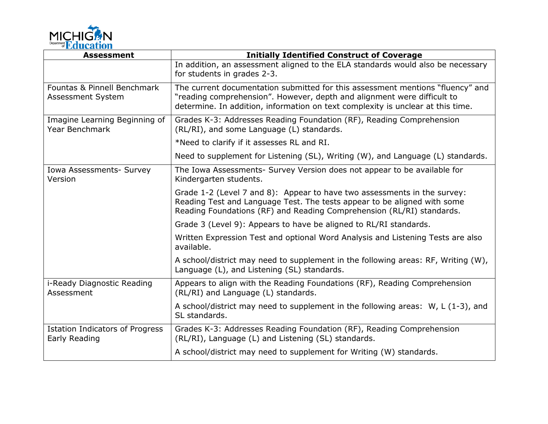

| <b>Assessment</b>                                       | <b>Initially Identified Construct of Coverage</b>                                                                                                                                                                                            |
|---------------------------------------------------------|----------------------------------------------------------------------------------------------------------------------------------------------------------------------------------------------------------------------------------------------|
|                                                         | In addition, an assessment aligned to the ELA standards would also be necessary<br>for students in grades 2-3.                                                                                                                               |
| Fountas & Pinnell Benchmark<br>Assessment System        | The current documentation submitted for this assessment mentions "fluency" and<br>"reading comprehension". However, depth and alignment were difficult to<br>determine. In addition, information on text complexity is unclear at this time. |
| Imagine Learning Beginning of<br><b>Year Benchmark</b>  | Grades K-3: Addresses Reading Foundation (RF), Reading Comprehension<br>(RL/RI), and some Language (L) standards.                                                                                                                            |
|                                                         | *Need to clarify if it assesses RL and RI.                                                                                                                                                                                                   |
|                                                         | Need to supplement for Listening (SL), Writing (W), and Language (L) standards.                                                                                                                                                              |
| Iowa Assessments- Survey<br>Version                     | The Iowa Assessments- Survey Version does not appear to be available for<br>Kindergarten students.                                                                                                                                           |
|                                                         | Grade 1-2 (Level 7 and 8): Appear to have two assessments in the survey:<br>Reading Test and Language Test. The tests appear to be aligned with some<br>Reading Foundations (RF) and Reading Comprehension (RL/RI) standards.                |
|                                                         | Grade 3 (Level 9): Appears to have be aligned to RL/RI standards.                                                                                                                                                                            |
|                                                         | Written Expression Test and optional Word Analysis and Listening Tests are also<br>available.                                                                                                                                                |
|                                                         | A school/district may need to supplement in the following areas: RF, Writing (W),<br>Language (L), and Listening (SL) standards.                                                                                                             |
| i-Ready Diagnostic Reading<br>Assessment                | Appears to align with the Reading Foundations (RF), Reading Comprehension<br>(RL/RI) and Language (L) standards.                                                                                                                             |
|                                                         | A school/district may need to supplement in the following areas: $W$ , L (1-3), and<br>SL standards.                                                                                                                                         |
| <b>Istation Indicators of Progress</b><br>Early Reading | Grades K-3: Addresses Reading Foundation (RF), Reading Comprehension<br>(RL/RI), Language (L) and Listening (SL) standards.                                                                                                                  |
|                                                         | A school/district may need to supplement for Writing (W) standards.                                                                                                                                                                          |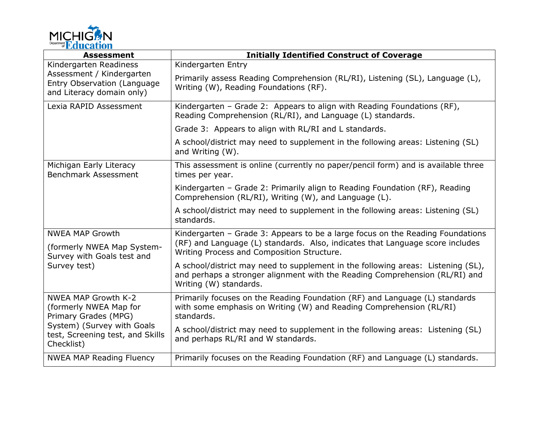

| <b>Assessment</b>                                                                                                                                            | <b>Initially Identified Construct of Coverage</b>                                                                                                                                                             |
|--------------------------------------------------------------------------------------------------------------------------------------------------------------|---------------------------------------------------------------------------------------------------------------------------------------------------------------------------------------------------------------|
| Kindergarten Readiness<br>Assessment / Kindergarten<br>Entry Observation (Language<br>and Literacy domain only)                                              | Kindergarten Entry                                                                                                                                                                                            |
|                                                                                                                                                              | Primarily assess Reading Comprehension (RL/RI), Listening (SL), Language (L),<br>Writing (W), Reading Foundations (RF).                                                                                       |
| Lexia RAPID Assessment                                                                                                                                       | Kindergarten - Grade 2: Appears to align with Reading Foundations (RF),<br>Reading Comprehension (RL/RI), and Language (L) standards.                                                                         |
|                                                                                                                                                              | Grade 3: Appears to align with RL/RI and L standards.                                                                                                                                                         |
|                                                                                                                                                              | A school/district may need to supplement in the following areas: Listening (SL)<br>and Writing (W).                                                                                                           |
| Michigan Early Literacy<br>Benchmark Assessment                                                                                                              | This assessment is online (currently no paper/pencil form) and is available three<br>times per year.                                                                                                          |
|                                                                                                                                                              | Kindergarten - Grade 2: Primarily align to Reading Foundation (RF), Reading<br>Comprehension (RL/RI), Writing (W), and Language (L).                                                                          |
|                                                                                                                                                              | A school/district may need to supplement in the following areas: Listening (SL)<br>standards.                                                                                                                 |
| <b>NWEA MAP Growth</b><br>(formerly NWEA Map System-<br>Survey with Goals test and<br>Survey test)                                                           | Kindergarten - Grade 3: Appears to be a large focus on the Reading Foundations<br>(RF) and Language (L) standards. Also, indicates that Language score includes<br>Writing Process and Composition Structure. |
|                                                                                                                                                              | A school/district may need to supplement in the following areas: Listening (SL),<br>and perhaps a stronger alignment with the Reading Comprehension (RL/RI) and<br>Writing (W) standards.                     |
| <b>NWEA MAP Growth K-2</b><br>(formerly NWEA Map for<br>Primary Grades (MPG)<br>System) (Survey with Goals<br>test, Screening test, and Skills<br>Checklist) | Primarily focuses on the Reading Foundation (RF) and Language (L) standards<br>with some emphasis on Writing (W) and Reading Comprehension (RL/RI)<br>standards.                                              |
|                                                                                                                                                              | A school/district may need to supplement in the following areas: Listening (SL)<br>and perhaps RL/RI and W standards.                                                                                         |
| <b>NWEA MAP Reading Fluency</b>                                                                                                                              | Primarily focuses on the Reading Foundation (RF) and Language (L) standards.                                                                                                                                  |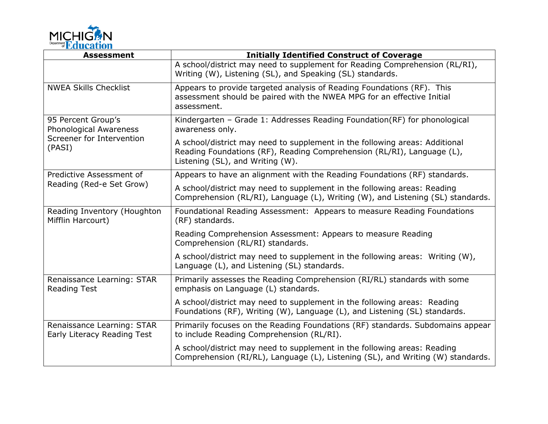

| <b>Assessment</b>                                                                   | <b>Initially Identified Construct of Coverage</b>                                                                                                                                         |
|-------------------------------------------------------------------------------------|-------------------------------------------------------------------------------------------------------------------------------------------------------------------------------------------|
|                                                                                     | A school/district may need to supplement for Reading Comprehension (RL/RI),<br>Writing (W), Listening (SL), and Speaking (SL) standards.                                                  |
| <b>NWEA Skills Checklist</b>                                                        | Appears to provide targeted analysis of Reading Foundations (RF). This<br>assessment should be paired with the NWEA MPG for an effective Initial<br>assessment.                           |
| 95 Percent Group's<br>Phonological Awareness<br>Screener for Intervention<br>(PASI) | Kindergarten - Grade 1: Addresses Reading Foundation(RF) for phonological<br>awareness only.                                                                                              |
|                                                                                     | A school/district may need to supplement in the following areas: Additional<br>Reading Foundations (RF), Reading Comprehension (RL/RI), Language (L),<br>Listening (SL), and Writing (W). |
| Predictive Assessment of                                                            | Appears to have an alignment with the Reading Foundations (RF) standards.                                                                                                                 |
| Reading (Red-e Set Grow)                                                            | A school/district may need to supplement in the following areas: Reading<br>Comprehension (RL/RI), Language (L), Writing (W), and Listening (SL) standards.                               |
| Reading Inventory (Houghton<br>Mifflin Harcourt)                                    | Foundational Reading Assessment: Appears to measure Reading Foundations<br>(RF) standards.                                                                                                |
|                                                                                     | Reading Comprehension Assessment: Appears to measure Reading<br>Comprehension (RL/RI) standards.                                                                                          |
|                                                                                     | A school/district may need to supplement in the following areas: Writing (W),<br>Language (L), and Listening (SL) standards.                                                              |
| Renaissance Learning: STAR<br><b>Reading Test</b>                                   | Primarily assesses the Reading Comprehension (RI/RL) standards with some<br>emphasis on Language (L) standards.                                                                           |
|                                                                                     | A school/district may need to supplement in the following areas: Reading<br>Foundations (RF), Writing (W), Language (L), and Listening (SL) standards.                                    |
| Renaissance Learning: STAR<br>Early Literacy Reading Test                           | Primarily focuses on the Reading Foundations (RF) standards. Subdomains appear<br>to include Reading Comprehension (RL/RI).                                                               |
|                                                                                     | A school/district may need to supplement in the following areas: Reading<br>Comprehension (RI/RL), Language (L), Listening (SL), and Writing (W) standards.                               |